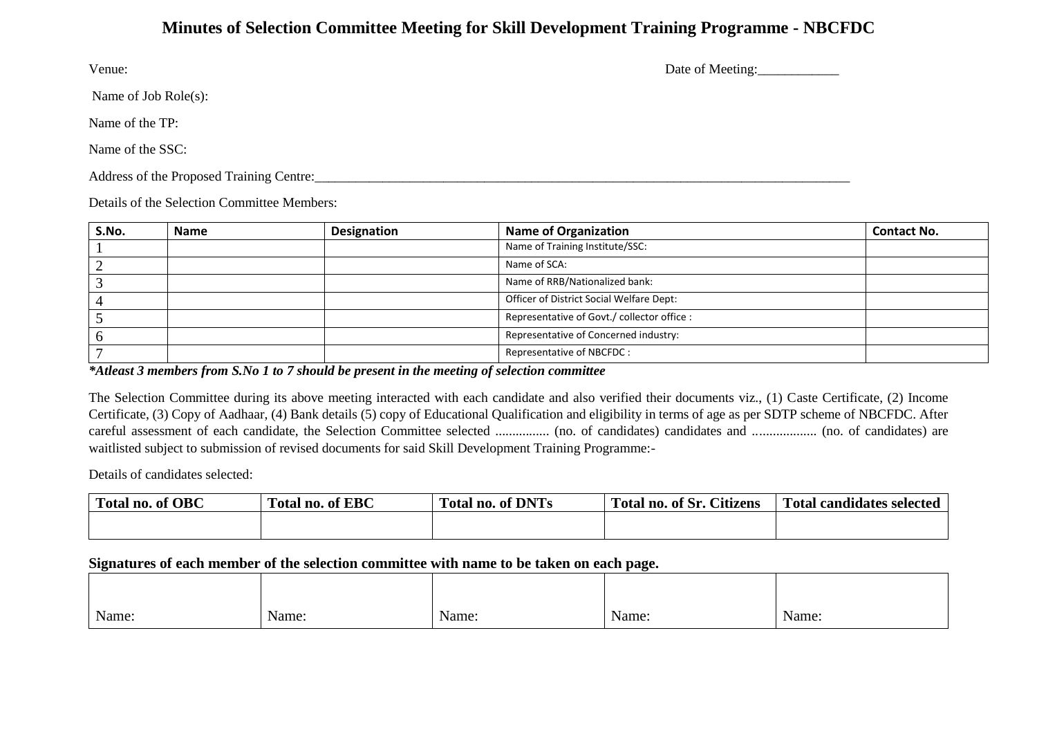## **Minutes of Selection Committee Meeting for Skill Development Training Programme - NBCFDC**

Venue: Date of Meeting:

Name of Job Role(s):

Name of the TP:

Name of the SSC:

Address of the Proposed Training Centre:\_\_\_\_\_\_\_\_\_\_\_\_\_\_\_\_\_\_\_\_\_\_\_\_\_\_\_\_\_\_\_\_\_\_\_\_\_\_\_\_\_\_\_\_\_\_\_\_\_\_\_\_\_\_\_\_\_\_\_\_\_\_\_\_\_\_\_\_\_\_\_\_\_\_\_\_\_\_\_

Details of the Selection Committee Members:

| S.No. | <b>Name</b> | Designation | <b>Name of Organization</b>                 | <b>Contact No.</b> |
|-------|-------------|-------------|---------------------------------------------|--------------------|
|       |             |             | Name of Training Institute/SSC:             |                    |
|       |             |             | Name of SCA:                                |                    |
|       |             |             | Name of RRB/Nationalized bank:              |                    |
|       |             |             | Officer of District Social Welfare Dept:    |                    |
|       |             |             | Representative of Govt./ collector office : |                    |
|       |             |             | Representative of Concerned industry:       |                    |
|       |             |             | Representative of NBCFDC:                   |                    |

*\*Atleast 3 members from S.No 1 to 7 should be present in the meeting of selection committee*

The Selection Committee during its above meeting interacted with each candidate and also verified their documents viz., (1) Caste Certificate, (2) Income Certificate, (3) Copy of Aadhaar, (4) Bank details (5) copy of Educational Qualification and eligibility in terms of age as per SDTP scheme of NBCFDC. After careful assessment of each candidate, the Selection Committee selected ................ (no. of candidates) candidates and ................... (no. of candidates) are waitlisted subject to submission of revised documents for said Skill Development Training Programme:-

Details of candidates selected:

| $\sim$<br>f OBC<br>Total no. of ' | <b>Total no. of EBC</b> | of DNTs<br>Total no. | $\mathbf{r}$<br>$\sim \cdot \cdot$<br>Total no. of Sr.<br>Atızens | Total candidates selected |
|-----------------------------------|-------------------------|----------------------|-------------------------------------------------------------------|---------------------------|
|                                   |                         |                      |                                                                   |                           |

## **Signatures of each member of the selection committee with name to be taken on each page.**

| Name: | <b>TT</b><br>Name:<br>$\cdots \cdots \cdots \cdots \cdots$ | Name:<br>$\sim$ $\sim$ $\sim$ $\sim$ $\sim$ $\sim$ | Name: | Name: |
|-------|------------------------------------------------------------|----------------------------------------------------|-------|-------|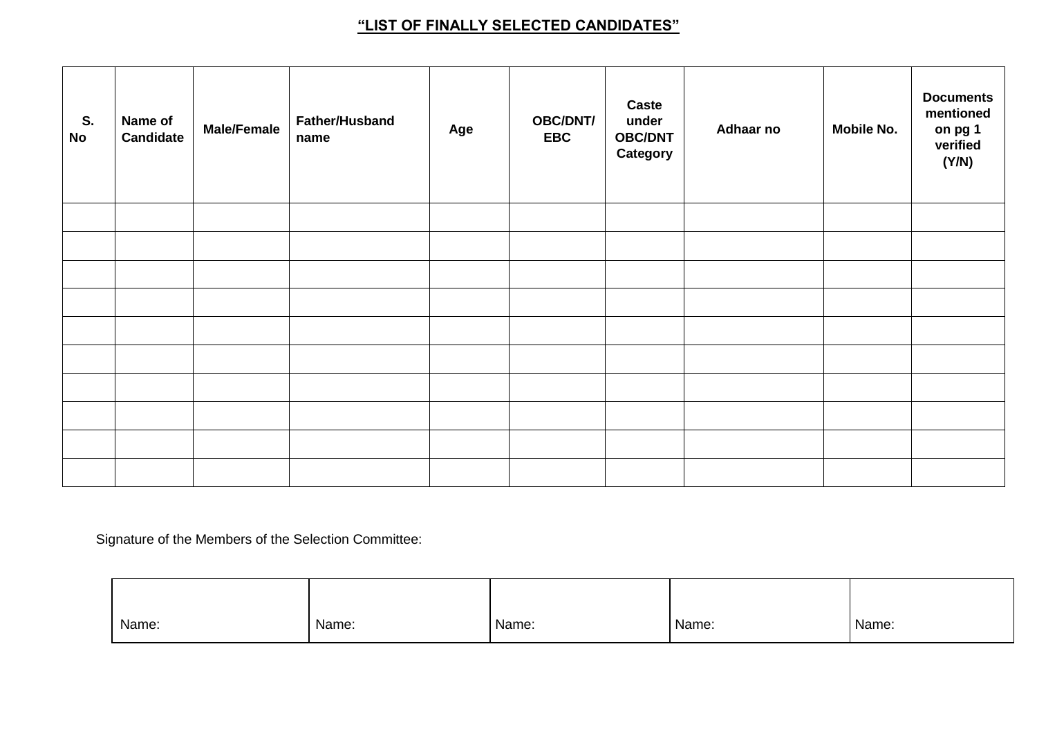## **"LIST OF FINALLY SELECTED CANDIDATES"**

| S.<br><b>No</b> | Name of<br><b>Candidate</b> | <b>Male/Female</b> | <b>Father/Husband</b><br>name | Age | <b>OBC/DNT/</b><br><b>EBC</b> | <b>Caste</b><br>under<br><b>OBC/DNT</b><br>Category | Adhaar no | <b>Mobile No.</b> | <b>Documents</b><br>mentioned<br>on pg 1<br>verified<br>(Y/N) |
|-----------------|-----------------------------|--------------------|-------------------------------|-----|-------------------------------|-----------------------------------------------------|-----------|-------------------|---------------------------------------------------------------|
|                 |                             |                    |                               |     |                               |                                                     |           |                   |                                                               |
|                 |                             |                    |                               |     |                               |                                                     |           |                   |                                                               |
|                 |                             |                    |                               |     |                               |                                                     |           |                   |                                                               |
|                 |                             |                    |                               |     |                               |                                                     |           |                   |                                                               |
|                 |                             |                    |                               |     |                               |                                                     |           |                   |                                                               |
|                 |                             |                    |                               |     |                               |                                                     |           |                   |                                                               |
|                 |                             |                    |                               |     |                               |                                                     |           |                   |                                                               |
|                 |                             |                    |                               |     |                               |                                                     |           |                   |                                                               |
|                 |                             |                    |                               |     |                               |                                                     |           |                   |                                                               |
|                 |                             |                    |                               |     |                               |                                                     |           |                   |                                                               |

Signature of the Members of the Selection Committee:

| Name: | Name: | Name: | Name: | Name: |
|-------|-------|-------|-------|-------|